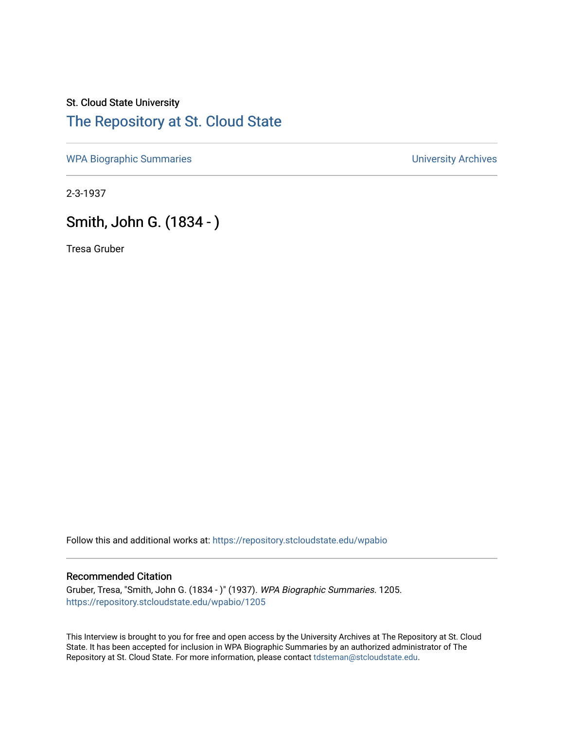## St. Cloud State University [The Repository at St. Cloud State](https://repository.stcloudstate.edu/)

[WPA Biographic Summaries](https://repository.stcloudstate.edu/wpabio) **WPA Biographic Summaries University Archives** 

2-3-1937

## Smith, John G. (1834 - )

Tresa Gruber

Follow this and additional works at: [https://repository.stcloudstate.edu/wpabio](https://repository.stcloudstate.edu/wpabio?utm_source=repository.stcloudstate.edu%2Fwpabio%2F1205&utm_medium=PDF&utm_campaign=PDFCoverPages) 

## Recommended Citation

Gruber, Tresa, "Smith, John G. (1834 - )" (1937). WPA Biographic Summaries. 1205. [https://repository.stcloudstate.edu/wpabio/1205](https://repository.stcloudstate.edu/wpabio/1205?utm_source=repository.stcloudstate.edu%2Fwpabio%2F1205&utm_medium=PDF&utm_campaign=PDFCoverPages) 

This Interview is brought to you for free and open access by the University Archives at The Repository at St. Cloud State. It has been accepted for inclusion in WPA Biographic Summaries by an authorized administrator of The Repository at St. Cloud State. For more information, please contact [tdsteman@stcloudstate.edu.](mailto:tdsteman@stcloudstate.edu)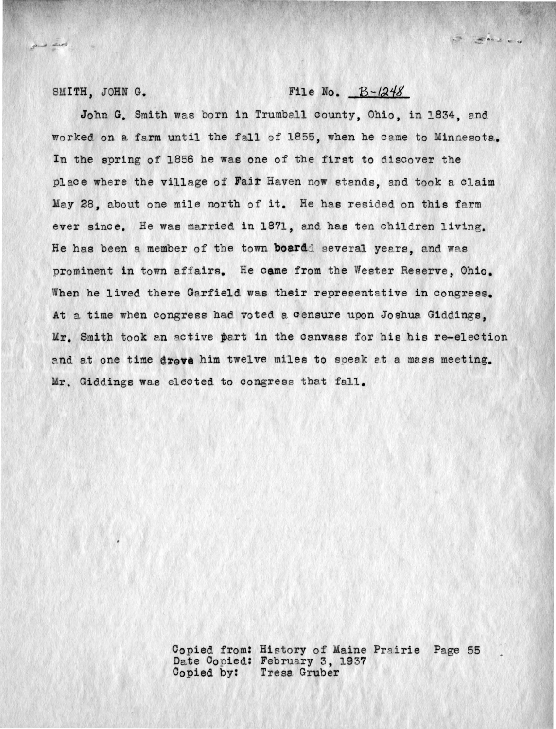general interest

## SMITH, JOHN G.  $B-\frac{1248}{8}$

- salvu

John G. Smith was born in Trumball county, Ohio, in 1834, and worked on a farm until the fall of 1855, when he came to Minnesota. In the spring of 1856 he was one of the first to discover the place where the village of **Fair** Haven now stands, and took a claim May 28, about one mile north of it. He has resided on this farm ever since. He was married in 1871, and has ten children living. He has been a member of the town **board**d several years, and was prominent in town affairs. He came from the Wester Reserve, Ohio. When he lived there Garfield was their representative in congress. At a time when congress had voted a censure upon Joshua Giddings, Mr. Smith took an active part in the canvass for his his re-election and at one time drove him twelve miles to soeak at a mass meeting. Mr. Giddings was elected to congress that fall.

> Copied from: History of Maine Prairie Page 55 Date Copied: February 3, 1937 Copied by: Tresa Gruber